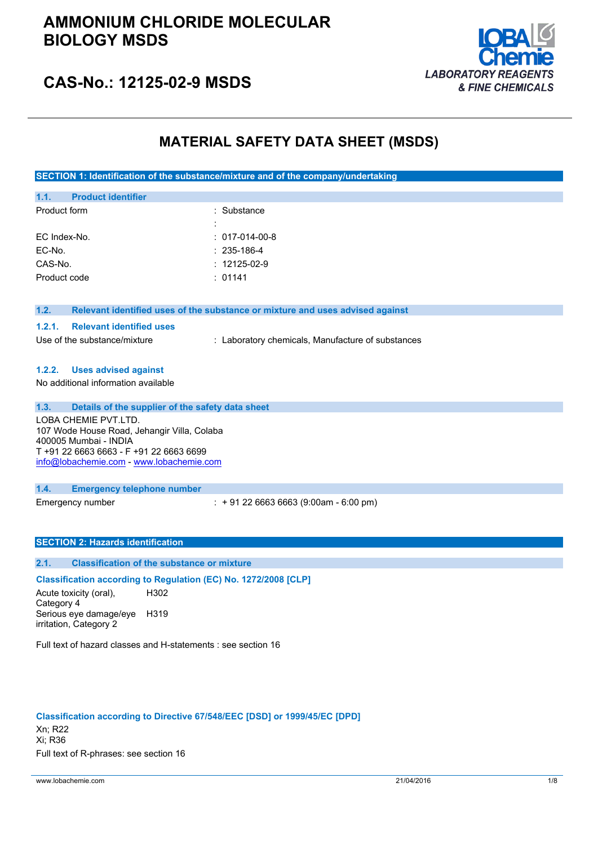

## **CAS-No.: 12125-02-9 MSDS**

## **MATERIAL SAFETY DATA SHEET (MSDS)**

**SECTION 1: Identification of the substance/mixture and of the company/undertaking**

| 1.1.         | <b>Product identifier</b> |                    |
|--------------|---------------------------|--------------------|
| Product form |                           | : Substance        |
|              |                           |                    |
| EC Index-No. |                           | $: 017-014-00-8$   |
| EC-No.       |                           | $: 235 - 186 - 4$  |
| CAS-No.      |                           | $: 12125 - 02 - 9$ |
| Product code |                           | : 01141            |
|              |                           |                    |

#### **1.2. Relevant identified uses of the substance or mixture and uses advised against**

#### **1.2.1. Relevant identified uses**

Use of the substance/mixture : Laboratory chemicals, Manufacture of substances

## **1.2.2. Uses advised against**

No additional information available

### **1.3. Details of the supplier of the safety data sheet**

LOBA CHEMIE PVT.LTD. 107 Wode House Road, Jehangir Villa, Colaba 400005 Mumbai - INDIA T +91 22 6663 6663 - F +91 22 6663 6699 [info@lobachemie.com](mailto:info@lobachemie.com) - <www.lobachemie.com>

#### **1.4. Emergency telephone number**

Emergency number : + 91 22 6663 6663 (9:00am - 6:00 pm)

## **SECTION 2: Hazards identification**

## **2.1. Classification of the substance or mixture**

### **Classification according to Regulation (EC) No. 1272/2008 [CLP]**

Acute toxicity (oral), Category 4 H302 Serious eye damage/eye H319 irritation, Category 2

Full text of hazard classes and H-statements : see section 16

#### **Classification according to Directive 67/548/EEC [DSD] or 1999/45/EC [DPD]**

Xn; R22 Xi; R36 Full text of R-phrases: see section 16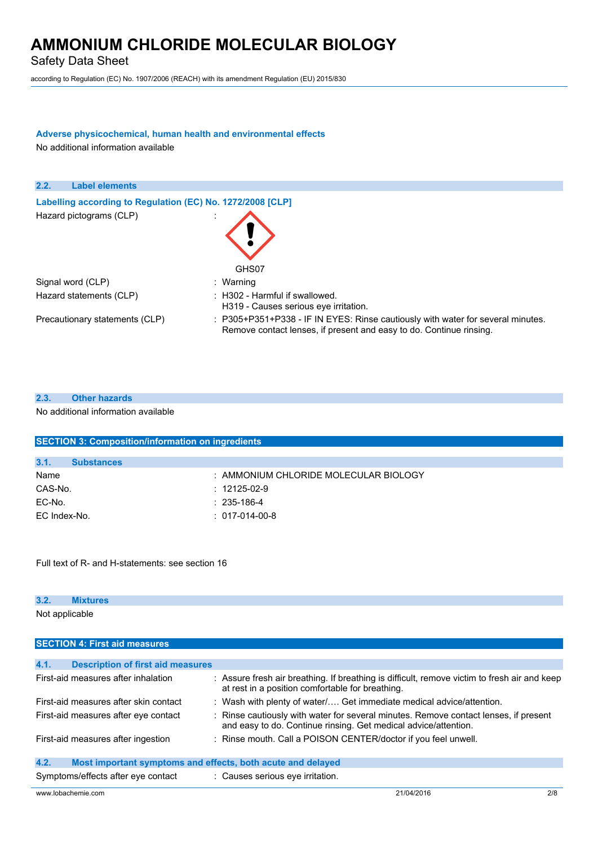Safety Data Sheet

according to Regulation (EC) No. 1907/2006 (REACH) with its amendment Regulation (EU) 2015/830

## **Adverse physicochemical, human health and environmental effects**

No additional information available

| 2.2.<br><b>Label elements</b>                              |                                                                                                                                                        |
|------------------------------------------------------------|--------------------------------------------------------------------------------------------------------------------------------------------------------|
| Labelling according to Regulation (EC) No. 1272/2008 [CLP] |                                                                                                                                                        |
| Hazard pictograms (CLP)                                    | GHS07                                                                                                                                                  |
| Signal word (CLP)                                          | : Warning                                                                                                                                              |
| Hazard statements (CLP)                                    | $\therefore$ H302 - Harmful if swallowed.<br>H319 - Causes serious eye irritation.                                                                     |
| Precautionary statements (CLP)                             | : P305+P351+P338 - IF IN EYES: Rinse cautiously with water for several minutes.<br>Remove contact lenses, if present and easy to do. Continue rinsing. |

| 2.3. | <b>Other hazards</b>                |
|------|-------------------------------------|
|      | No additional information available |

| <b>SECTION 3: Composition/information on ingredients</b> |                   |                                       |  |  |
|----------------------------------------------------------|-------------------|---------------------------------------|--|--|
|                                                          |                   |                                       |  |  |
| 3.1.                                                     | <b>Substances</b> |                                       |  |  |
| Name                                                     |                   | : AMMONIUM CHLORIDE MOLECULAR BIOLOGY |  |  |
| CAS-No.                                                  |                   | $: 12125 - 02 - 9$                    |  |  |
| EC-No.                                                   |                   | $: 235 - 186 - 4$                     |  |  |
| EC Index-No.                                             |                   | $: 017-014-00-8$                      |  |  |

Full text of R- and H-statements: see section 16

## **3.2. Mixtures** Not applicable

| <b>SECTION 4: First aid measures</b>                                |                                                                                                                                                         |  |  |  |
|---------------------------------------------------------------------|---------------------------------------------------------------------------------------------------------------------------------------------------------|--|--|--|
|                                                                     |                                                                                                                                                         |  |  |  |
| 4.1.<br><b>Description of first aid measures</b>                    |                                                                                                                                                         |  |  |  |
| First-aid measures after inhalation                                 | : Assure fresh air breathing. If breathing is difficult, remove victim to fresh air and keep<br>at rest in a position comfortable for breathing.        |  |  |  |
| First-aid measures after skin contact                               | : Wash with plenty of water/ Get immediate medical advice/attention.                                                                                    |  |  |  |
| First-aid measures after eye contact                                | : Rinse cautiously with water for several minutes. Remove contact lenses, if present<br>and easy to do. Continue rinsing. Get medical advice/attention. |  |  |  |
| First-aid measures after ingestion                                  | : Rinse mouth. Call a POISON CENTER/doctor if you feel unwell.                                                                                          |  |  |  |
| 4.2.<br>Most important symptoms and effects, both acute and delayed |                                                                                                                                                         |  |  |  |
| Symptoms/effects after eye contact                                  | : Causes serious eye irritation.                                                                                                                        |  |  |  |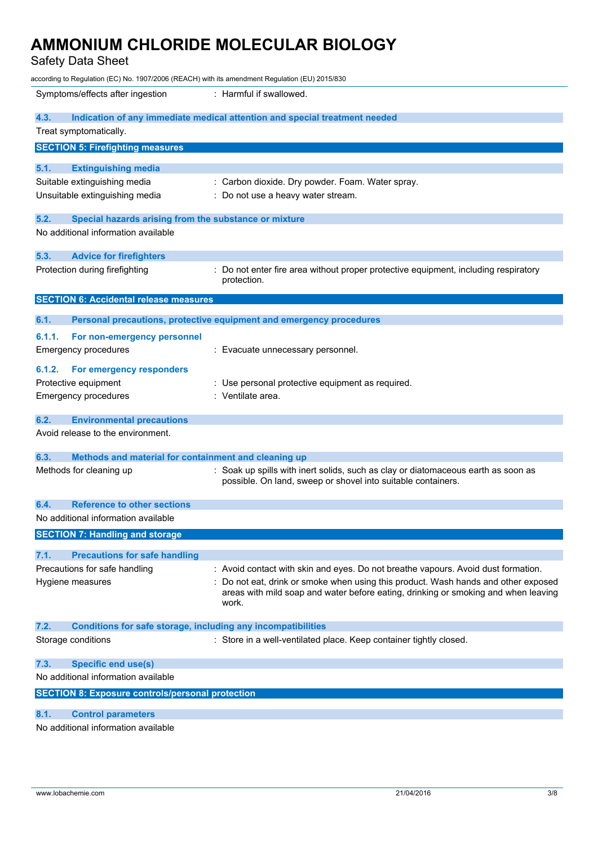Safety Data Sheet

| according to Regulation (EC) No. 1907/2006 (REACH) with its amendment Regulation (EU) 2015/830 |                                                                                                                                                                                 |  |  |
|------------------------------------------------------------------------------------------------|---------------------------------------------------------------------------------------------------------------------------------------------------------------------------------|--|--|
| Symptoms/effects after ingestion                                                               | : Harmful if swallowed.                                                                                                                                                         |  |  |
| 4.3.                                                                                           | Indication of any immediate medical attention and special treatment needed                                                                                                      |  |  |
| Treat symptomatically.                                                                         |                                                                                                                                                                                 |  |  |
| <b>SECTION 5: Firefighting measures</b>                                                        |                                                                                                                                                                                 |  |  |
| 5.1.<br><b>Extinguishing media</b>                                                             |                                                                                                                                                                                 |  |  |
| Suitable extinguishing media                                                                   | : Carbon dioxide. Dry powder. Foam. Water spray.                                                                                                                                |  |  |
| Unsuitable extinguishing media                                                                 | : Do not use a heavy water stream.                                                                                                                                              |  |  |
| 5.2.<br>Special hazards arising from the substance or mixture                                  |                                                                                                                                                                                 |  |  |
| No additional information available                                                            |                                                                                                                                                                                 |  |  |
| 5.3.<br><b>Advice for firefighters</b>                                                         |                                                                                                                                                                                 |  |  |
| Protection during firefighting                                                                 | : Do not enter fire area without proper protective equipment, including respiratory<br>protection.                                                                              |  |  |
| <b>SECTION 6: Accidental release measures</b>                                                  |                                                                                                                                                                                 |  |  |
| 6.1.                                                                                           | Personal precautions, protective equipment and emergency procedures                                                                                                             |  |  |
|                                                                                                |                                                                                                                                                                                 |  |  |
| 6.1.1.<br>For non-emergency personnel<br><b>Emergency procedures</b>                           |                                                                                                                                                                                 |  |  |
|                                                                                                | : Evacuate unnecessary personnel.                                                                                                                                               |  |  |
| 6.1.2.<br>For emergency responders                                                             |                                                                                                                                                                                 |  |  |
| Protective equipment                                                                           | : Use personal protective equipment as required.                                                                                                                                |  |  |
| <b>Emergency procedures</b>                                                                    | : Ventilate area.                                                                                                                                                               |  |  |
| 6.2.<br><b>Environmental precautions</b>                                                       |                                                                                                                                                                                 |  |  |
| Avoid release to the environment.                                                              |                                                                                                                                                                                 |  |  |
| 6.3.<br>Methods and material for containment and cleaning up                                   |                                                                                                                                                                                 |  |  |
| Methods for cleaning up                                                                        | : Soak up spills with inert solids, such as clay or diatomaceous earth as soon as<br>possible. On land, sweep or shovel into suitable containers.                               |  |  |
| <b>Reference to other sections</b><br>6.4.                                                     |                                                                                                                                                                                 |  |  |
| No additional information available                                                            |                                                                                                                                                                                 |  |  |
| <b>SECTION 7: Handling and storage</b>                                                         |                                                                                                                                                                                 |  |  |
|                                                                                                |                                                                                                                                                                                 |  |  |
| 7.1.<br><b>Precautions for safe handling</b><br>Precautions for safe handling                  | : Avoid contact with skin and eyes. Do not breathe vapours. Avoid dust formation.                                                                                               |  |  |
|                                                                                                |                                                                                                                                                                                 |  |  |
| Hygiene measures                                                                               | Do not eat, drink or smoke when using this product. Wash hands and other exposed<br>areas with mild soap and water before eating, drinking or smoking and when leaving<br>work. |  |  |
| 7.2.<br><b>Conditions for safe storage, including any incompatibilities</b>                    |                                                                                                                                                                                 |  |  |
| Storage conditions                                                                             | : Store in a well-ventilated place. Keep container tightly closed.                                                                                                              |  |  |
| 7.3.<br><b>Specific end use(s)</b>                                                             |                                                                                                                                                                                 |  |  |
| No additional information available                                                            |                                                                                                                                                                                 |  |  |
| <b>SECTION 8: Exposure controls/personal protection</b>                                        |                                                                                                                                                                                 |  |  |
| 8.1.<br><b>Control parameters</b>                                                              |                                                                                                                                                                                 |  |  |
| No additional information available                                                            |                                                                                                                                                                                 |  |  |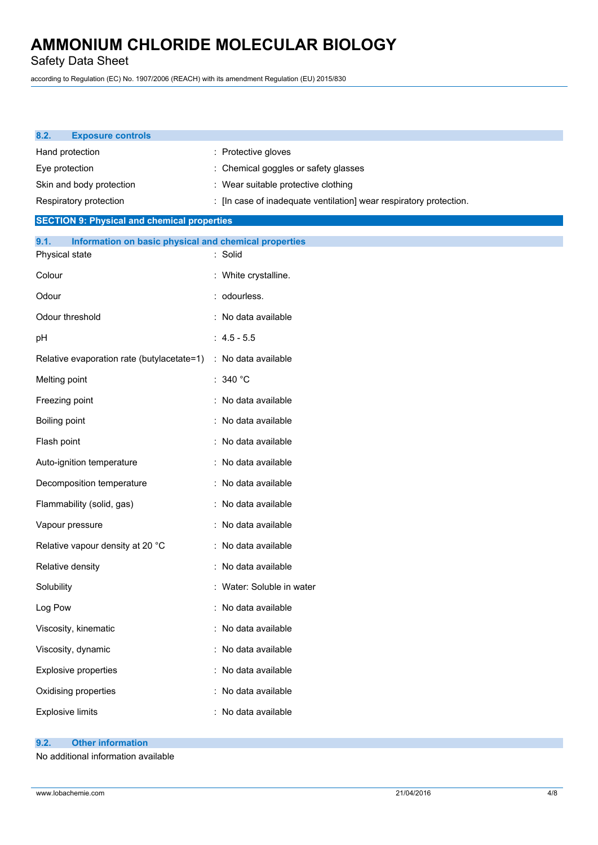Safety Data Sheet

according to Regulation (EC) No. 1907/2006 (REACH) with its amendment Regulation (EU) 2015/830

| 8.2.           | <b>Exposure controls</b>                              |                                                                    |
|----------------|-------------------------------------------------------|--------------------------------------------------------------------|
|                | Hand protection                                       | : Protective gloves                                                |
| Eye protection |                                                       | : Chemical goggles or safety glasses                               |
|                | Skin and body protection                              | : Wear suitable protective clothing                                |
|                | Respiratory protection                                | : [In case of inadequate ventilation] wear respiratory protection. |
|                | <b>SECTION 9: Physical and chemical properties</b>    |                                                                    |
| 9.1.           | Information on basic physical and chemical properties |                                                                    |
|                | Physical state                                        | : Solid                                                            |
| Colour         |                                                       | : White crystalline.                                               |
| Odour          |                                                       | : odourless.                                                       |
|                | Odour threshold                                       | : No data available                                                |
| pH             |                                                       | $: 4.5 - 5.5$                                                      |
|                | Relative evaporation rate (butylacetate=1)            | : No data available                                                |
| Melting point  |                                                       | : 340 $^{\circ}$ C                                                 |
|                | Freezing point                                        | : No data available                                                |
| Boiling point  |                                                       | : No data available                                                |
| Flash point    |                                                       | : No data available                                                |
|                | Auto-ignition temperature                             | : No data available                                                |
|                | Decomposition temperature                             | : No data available                                                |
|                | Flammability (solid, gas)                             | : No data available                                                |
|                | Vapour pressure                                       | : No data available                                                |
|                | Relative vapour density at 20 °C                      | : No data available                                                |
|                | Relative density                                      | : No data available                                                |
| Solubility     |                                                       | : Water: Soluble in water                                          |
| Log Pow        |                                                       | : No data available                                                |
|                | Viscosity, kinematic                                  | : No data available                                                |
|                | Viscosity, dynamic                                    | : No data available                                                |
|                | <b>Explosive properties</b>                           | : No data available                                                |
|                | Oxidising properties                                  | : No data available                                                |
|                | <b>Explosive limits</b>                               | : No data available                                                |
|                |                                                       |                                                                    |

## **9.2. Other information**

No additional information available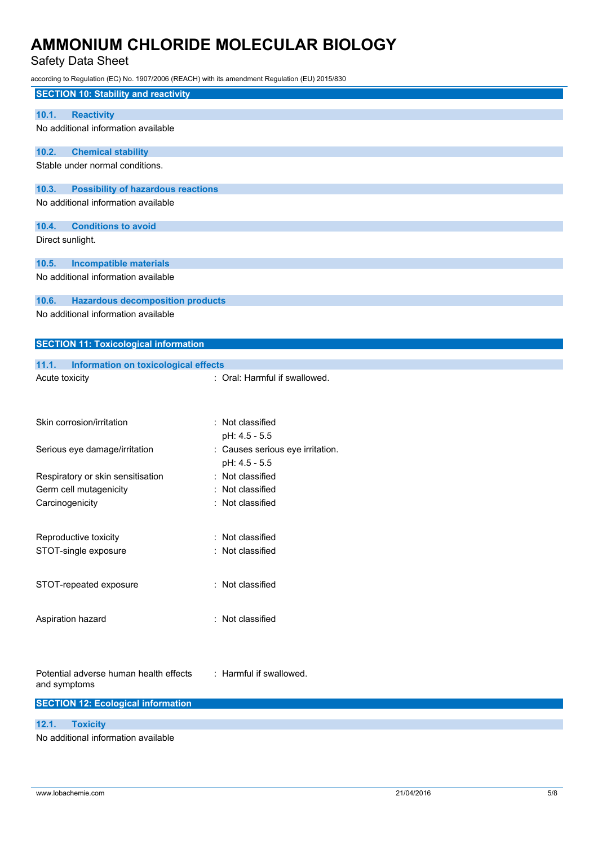Safety Data Sheet

according to Regulation (EC) No. 1907/2006 (REACH) with its amendment Regulation (EU) 2015/830

| <b>SECTION 10: Stability and reactivity</b>                                               |                                  |
|-------------------------------------------------------------------------------------------|----------------------------------|
| <b>Reactivity</b><br>10.1.                                                                |                                  |
| No additional information available                                                       |                                  |
|                                                                                           |                                  |
| 10.2.<br><b>Chemical stability</b>                                                        |                                  |
| Stable under normal conditions.                                                           |                                  |
|                                                                                           |                                  |
| <b>Possibility of hazardous reactions</b><br>10.3.<br>No additional information available |                                  |
|                                                                                           |                                  |
| <b>Conditions to avoid</b><br>10.4.                                                       |                                  |
| Direct sunlight.                                                                          |                                  |
|                                                                                           |                                  |
| <b>Incompatible materials</b><br>10.5.                                                    |                                  |
| No additional information available                                                       |                                  |
|                                                                                           |                                  |
| 10.6.<br><b>Hazardous decomposition products</b><br>No additional information available   |                                  |
|                                                                                           |                                  |
|                                                                                           |                                  |
| <b>SECTION 11: Toxicological information</b>                                              |                                  |
| 11.1.<br>Information on toxicological effects                                             |                                  |
| Acute toxicity                                                                            | : Oral: Harmful if swallowed.    |
|                                                                                           |                                  |
|                                                                                           |                                  |
| Skin corrosion/irritation                                                                 | : Not classified                 |
|                                                                                           | pH: 4.5 - 5.5                    |
| Serious eye damage/irritation                                                             | : Causes serious eye irritation. |
|                                                                                           | pH: 4.5 - 5.5                    |
| Respiratory or skin sensitisation                                                         | : Not classified                 |
| Germ cell mutagenicity                                                                    | Not classified                   |
| Carcinogenicity                                                                           | Not classified                   |
|                                                                                           |                                  |
| Reproductive toxicity                                                                     | : Not classified                 |
| STOT-single exposure                                                                      | : Not classified                 |
|                                                                                           |                                  |
|                                                                                           |                                  |
| STOT-repeated exposure                                                                    | : Not classified                 |
|                                                                                           |                                  |
| Aspiration hazard                                                                         | : Not classified                 |
|                                                                                           |                                  |
|                                                                                           |                                  |
|                                                                                           |                                  |
| Potential adverse human health effects                                                    | : Harmful if swallowed.          |
| and symptoms                                                                              |                                  |
| <b>SECTION 12: Ecological information</b>                                                 |                                  |
|                                                                                           |                                  |
| <b>Toxicity</b><br>12.1.                                                                  |                                  |
| No additional information available                                                       |                                  |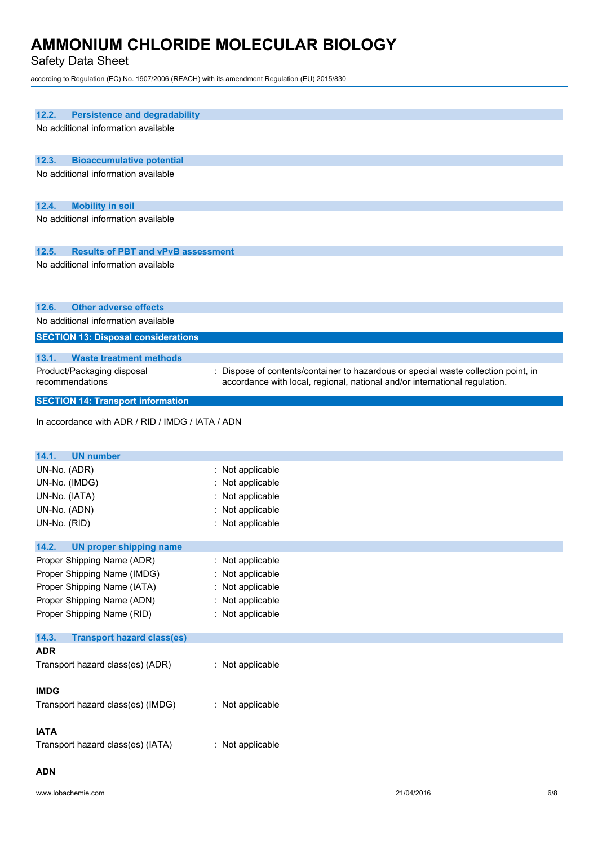Safety Data Sheet

according to Regulation (EC) No. 1907/2006 (REACH) with its amendment Regulation (EU) 2015/830

| 12.2.<br><b>Persistence and degradability</b>      |                                                                                                                                                                  |
|----------------------------------------------------|------------------------------------------------------------------------------------------------------------------------------------------------------------------|
|                                                    |                                                                                                                                                                  |
| No additional information available                |                                                                                                                                                                  |
|                                                    |                                                                                                                                                                  |
| 12.3.<br><b>Bioaccumulative potential</b>          |                                                                                                                                                                  |
| No additional information available                |                                                                                                                                                                  |
|                                                    |                                                                                                                                                                  |
|                                                    |                                                                                                                                                                  |
| 12.4.<br><b>Mobility in soil</b>                   |                                                                                                                                                                  |
| No additional information available                |                                                                                                                                                                  |
|                                                    |                                                                                                                                                                  |
| 12.5.<br><b>Results of PBT and vPvB assessment</b> |                                                                                                                                                                  |
| No additional information available                |                                                                                                                                                                  |
|                                                    |                                                                                                                                                                  |
|                                                    |                                                                                                                                                                  |
|                                                    |                                                                                                                                                                  |
| 12.6.<br><b>Other adverse effects</b>              |                                                                                                                                                                  |
| No additional information available                |                                                                                                                                                                  |
| <b>SECTION 13: Disposal considerations</b>         |                                                                                                                                                                  |
| 13.1.                                              |                                                                                                                                                                  |
| <b>Waste treatment methods</b>                     |                                                                                                                                                                  |
| Product/Packaging disposal<br>recommendations      | : Dispose of contents/container to hazardous or special waste collection point, in<br>accordance with local, regional, national and/or international regulation. |
|                                                    |                                                                                                                                                                  |
| <b>SECTION 14: Transport information</b>           |                                                                                                                                                                  |
|                                                    |                                                                                                                                                                  |
| In accordance with ADR / RID / IMDG / IATA / ADN   |                                                                                                                                                                  |
|                                                    |                                                                                                                                                                  |
| 14.1.<br><b>UN number</b>                          |                                                                                                                                                                  |
| UN-No. (ADR)                                       | : Not applicable                                                                                                                                                 |
| UN-No. (IMDG)                                      | : Not applicable                                                                                                                                                 |
| UN-No. (IATA)                                      | Not applicable                                                                                                                                                   |
| UN-No. (ADN)                                       | : Not applicable                                                                                                                                                 |
| UN-No. (RID)                                       | : Not applicable                                                                                                                                                 |
|                                                    |                                                                                                                                                                  |
| 14.2.<br><b>UN proper shipping name</b>            |                                                                                                                                                                  |
| Proper Shipping Name (ADR)                         | : Not applicable                                                                                                                                                 |
| Proper Shipping Name (IMDG)                        | : Not applicable                                                                                                                                                 |
| Proper Shipping Name (IATA)                        |                                                                                                                                                                  |
|                                                    | : Not applicable                                                                                                                                                 |
| Proper Shipping Name (ADN)                         | Not applicable                                                                                                                                                   |
| Proper Shipping Name (RID)                         | : Not applicable                                                                                                                                                 |
| 14.3.                                              |                                                                                                                                                                  |
| <b>Transport hazard class(es)</b>                  |                                                                                                                                                                  |
| <b>ADR</b>                                         |                                                                                                                                                                  |
| Transport hazard class(es) (ADR)                   | : Not applicable                                                                                                                                                 |
|                                                    |                                                                                                                                                                  |
| <b>IMDG</b>                                        |                                                                                                                                                                  |
| Transport hazard class(es) (IMDG)                  | : Not applicable                                                                                                                                                 |
|                                                    |                                                                                                                                                                  |
| <b>IATA</b>                                        |                                                                                                                                                                  |
| Transport hazard class(es) (IATA)                  |                                                                                                                                                                  |
|                                                    | : Not applicable                                                                                                                                                 |
|                                                    |                                                                                                                                                                  |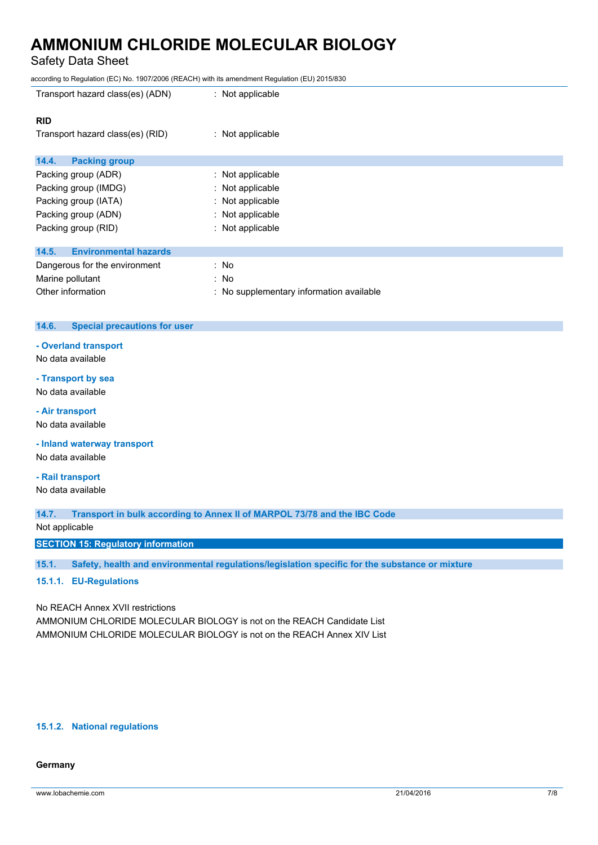Safety Data Sheet

according to Regulation (EC) No. 1907/2006 (REACH) with its amendment Regulation (EU) 2015/830

| Transport hazard class(es) (ADN)      | : Not applicable                         |
|---------------------------------------|------------------------------------------|
| <b>RID</b>                            |                                          |
| Transport hazard class(es) (RID)      | : Not applicable                         |
| 14.4.<br><b>Packing group</b>         |                                          |
| Packing group (ADR)                   | : Not applicable                         |
| Packing group (IMDG)                  | : Not applicable                         |
| Packing group (IATA)                  | : Not applicable                         |
| Packing group (ADN)                   | : Not applicable                         |
| Packing group (RID)                   | : Not applicable                         |
| 14.5.<br><b>Environmental hazards</b> |                                          |
| Dangerous for the environment         | : No                                     |
| Marine pollutant                      | : No                                     |
| Other information                     | : No supplementary information available |

### **14.6. Special precautions for user**

**- Overland transport**

No data available

## **- Transport by sea**

No data available

#### **- Air transport**

No data available

**- Inland waterway transport**

No data available

### **- Rail transport**

No data available

**14.7. Transport in bulk according to Annex II of MARPOL 73/78 and the IBC Code**

Not applicable

**SECTION 15: Regulatory information**

**15.1. Safety, health and environmental regulations/legislation specific for the substance or mixture**

## **15.1.1. EU-Regulations**

No REACH Annex XVII restrictions

AMMONIUM CHLORIDE MOLECULAR BIOLOGY is not on the REACH Candidate List AMMONIUM CHLORIDE MOLECULAR BIOLOGY is not on the REACH Annex XIV List

#### **15.1.2. National regulations**

### **Germany**

www.lobachemie.com 21/04/2016 7/8